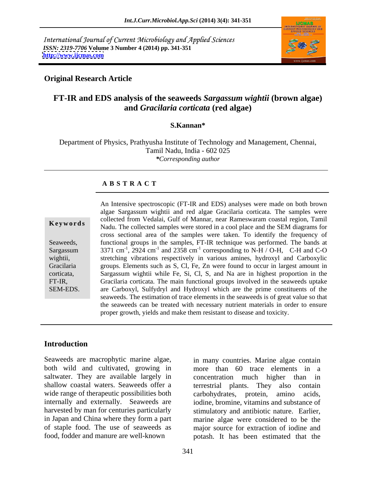International Journal of Current Microbiology and Applied Sciences *ISSN: 2319-7706* **Volume 3 Number 4 (2014) pp. 341-351 <http://www.ijcmas.com>**



### **Original Research Article**

# **FT-IR and EDS analysis of the seaweeds** *Sargassum wightii* **(brown algae) and** *Gracilaria corticata* **(red algae)**

### **S.Kannan\***

Department of Physics, Prathyusha Institute of Technology and Management, Chennai, Tamil Nadu, India - 602 025 *\*Corresponding author*

#### **A B S T R A C T**

**Keywords**<br>
Nadu. The collected samples were stored in a cool place and the SEM diagrams for Seaweeds, functional groups in the samples, FT-IR technique was performed. The bands at Sargassum 3371 cm<sup>-1</sup>, 2924 cm<sup>-1</sup> and 2358 cm<sup>-1</sup> corresponding to N-H / O-H, C-H and C-O wightii, stretching vibrations respectively in various amines, hydroxyl and Carboxylic Gracilaria groups. Elements such as S, Cl, Fe, Zn were found to occur in largest amount in corticata, Sargassum wightii while Fe, Si, Cl, S, and Na are in highest proportion in the FT-IR, Gracilaria corticata. The main functional groups involved in the seaweeds uptake SEM-EDS. are Carboxyl, Sulfydryl and Hydroxyl which are the prime constituents of the An Intensive spectroscopic (FT-IR and EDS) analyses were made on both brown algae Sargassum wightii and red algae Gracilaria corticata. The samples were collected from Vedalai, Gulf of Mannar, near Rameswaram coastal region, Tamil cross sectional area of the samples were taken. To identify the frequency of seaweeds. The estimation of trace elements in the seaweeds is of great value so that the seaweeds can be treated with necessary nutrient materials in order to ensure proper growth, yields and make them resistant to disease and toxicity.

### **Introduction**

Seaweeds are macrophytic marine algae, in many countries. Marine algae contain both wild and cultivated, growing in more than 60 trace elements in a saltwater. They are available largely in shallow coastal waters. Seaweeds offer a terrestrial plants. They also contain wide range of therapeutic possibilities both carbohydrates, protein, amino acids, internally and externally. Seaweeds are harvested by man for centuries particularly stimulatory and antibiotic nature. Earlier, in Japan and China where they form a part marine algae were considered to be the of staple food. The use of seaweeds as major source for extraction of iodine and

food, fodder and manure are well-known potash. It has been estimated that the concentration much higher than in iodine, bromine, vitamins and substance of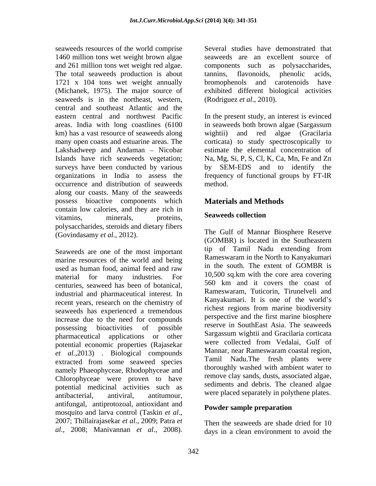seaweeds resources of the world comprise 1460 million tons wet weight brown algae and 261 million tons wet weight red algae. components such as polysaccharides, The total seaweeds production is about tannins, flavonoids, phenolic acids, 1721 x 104 tons wet weight annually bromophenols and carotenoids have (Michanek, 1975). The major source of exhibited different biological activities seaweeds is in the northeast, western, central and southeast Atlantic and the km) has a vast resource of seaweeds along wightii) and red algae (Gracilaria organizations in India to assess the occurrence and distribution of seaweeds along our coasts. Many of the seaweeds possess bioactive components which **Materials and Methods** contain low calories, and they are rich in<br>
seaweeds collection vitamins, minerals, proteins, **Seaweeds conection** polysaccharides, steroids and dietary fibers (Govindasamy *et al.*, 2012).

marine resources of the world and being used as human food, animal feed and raw  $\frac{10}{10}$  and  $\frac{1}{20}$  and  $\frac{1}{20}$  and  $\frac{1}{20}$  and  $\frac{1}{20}$  and  $\frac{1}{20}$  and  $\frac{1}{20}$  and  $\frac{1}{20}$  and  $\frac{1}{20}$  and  $\frac{1}{20}$  and  $\frac{1}{20}$  and  $\frac{1}{20}$  and material for many industries. For centuries, seaweed has been of botanical, industrial and pharmaceutical interest. In recent years, research on the chemistry of seaweeds has experienced a tremendous increase due to the need for compounds possessing bioactivities of possible reserve in Southeast Asia. The seaweeds pharmaceutical applications or other potential economic properties (Rajasekar *et al.*,2013) . Biological compounds extracted from some seaweed species namely Phaeophyceae, Rhodophyceae and Chlorophyceae were proven to have potential medicinal activities such as<br>antibacterial, antiviral, antitumour. antibacterial, antiviral, antitumour, were placed separately in polythene plates. antifungal, antiprotozoal, antioxidant and mosquito and larva control (Taskin *et al.*,<br>2007; Thillairajasekar *et al.*, 2009; Patra *et* Then the seaweeds are shade dried for 10

Several studies have demonstrated that seaweeds are an excellent source of tannins, flavonoids, phenolic acids, bromophenols and carotenoids have (Rodriguez *et al*., 2010).

eastern central and northwest Pacific In the present study, an interest is evinced areas. India with long coastlines(6100 in seaweeds both brown algae (Sargassum many open coasts and estuarine areas. The corticata) to study spectroscopically to Lakshadweep and Andaman – Nicobar estimate the elemental concentration of Islands have rich seaweeds vegetation; Na, Mg, Si, P, S, Cl, K, Ca, Mn, Fe and Zn surveys have been conducted by various by SEM-EDS and to identify the wightii) and red algae (Gracilaria frequency of functional groups by FT-IR method.

## **Materials and Methods**

## **Seaweeds collection**

Seaweeds are one of the most important tip of Tamil Nadu extending from The Gulf of Mannar Biosphere Reserve (GOMBR) is located in the Southeastern tip of Tamil Nadu extending from Rameswaram in the North to Kanyakumari in the south. The extent of GOMBR is 10,500 sq.km with the core area covering 560 km and it covers the coast of Rameswaram, Tuticorin, Tirunelveli and Kanyakumari. It is one of the world's richest regions from marine biodiversity perspective and the first marine biosphere reserve in SouthEast Asia. The seaweeds Sargassum wightii and Gracilaria corticata were collected from Vedalai, Gulf of Mannar, near Rameswaram coastal region, Tamil Nadu.The fresh plants were thoroughly washed with ambient water to remove clay sands, dusts, associated algae, sediments and debris. The cleaned algae

### **Powder sample preparation**

*al*., 2008; Manivannan *et al*., 2008). days in a clean environment to avoid theThen the seaweeds are shade dried for 10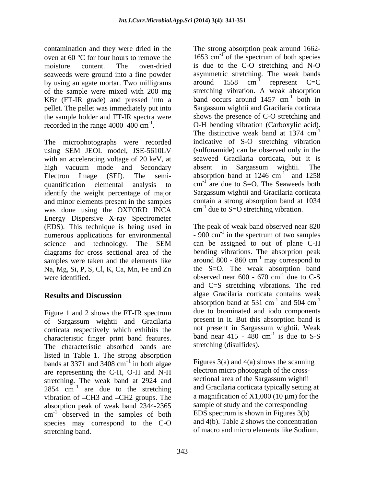seaweeds were ground into a fine powder<br>hy using an agate mortar. Two milligrams around 1558 cm<sup>-1</sup> by using an agate mortar. Two milligrams around 1558 KBr (FT-IR grade) and pressed into a pellet. The pellet was immediately put into the sample holder and FT-IR spectra were

The microphotographs were recorded indicative of S-O stretching vibration using SEM JEOL model, JSE-5610LV (sulfonamide) can be observed only in the with an accelerating voltage of 20 keV, at high vacuum mode and Secondary absent in Sargassum wightii. The Electron Image (SEI). The semi- absorption band at  $1246 \text{ cm}^{-1}$  and  $1258$ quantification elemental analysis to  $cm^{-1}$  are due to S=O. The Seaweeds both identify the weight percentage of major and minor elements present in the samples was done using the OXFORD INCA Energy Dispersive X-ray Spectrometer (EDS). This technique is being used in numerous applications for environmental science and technology. The SEM can be assigned to out of plane C-H diagrams for cross sectional area of the samples were taken and the elements like Na, Mg, Si, P, S, Cl, K, Ca, Mn, Fe and Zn were identified.  $\omega$  observed near 600 - 670 cm<sup>-1</sup> due to C-S

Figure 1 and 2 shows the FT-IR spectrum of Sargassum wightii and Gracilaria corticata respectively which exhibits the characteristic finger print band features. The characteristic absorbed bands are listed in Table 1. The strong absorption bands at 3371 and 3408  $cm^{-1}$  in both algae are representing the C-H, O-H and N-H stretching. The weak band at 2924 and 2854  $cm^{-1}$  are due to the stretching vibration of CH3 and CH2 groups. The absorption peak of weak band 2344-2365  $\text{cm}^{-1}$  observed in the samples of both EDS spectrum is shown in Figures 3(b) species may correspond to the C-O stretching band. of macro and micro elements like Sodium,

contamination and they were dried in the The strong absorption peak around 1662 oven at 60 °C for four hours to remove the  $1653 \text{ cm}^{-1}$  of the spectrum of both species moisture content. The oven-dried is due to the C-O stretching and N-O of the sample were mixed with 200 mg stretching vibration. A weak absorption recorded in the range  $4000-400 \text{ cm}^{-1}$ . O-H bending vibration (Carboxylic acid). of the spectrum of both species asymmetric stretching. The weak bands around  $1558$  cm<sup>-1</sup> represent C=C  $-1$  represent  $C-C$ represent C=C band occurs around  $1457 \text{ cm}^{-1}$  both in  $^{-1}$  hoth in both in Sargassum wightii and Gracilaria corticata shows the presence of C-O stretching and The distinctive weak band at 1374 cm<sup>-1</sup> -1 (sulfonamide) can be observed only in the seaweed Gracilaria corticata, but it is absent in Sargassum wightii. The  $1^{\circ}$  and 1958 and 1258 Sargassum wightii and Gracilaria corticata contain a strong absorption band at 1034  $cm^{-1}$  due to S=O stretching vibration.

**Results and Discussion algae Gracilaria corticata contains weak** The peak of weak band observed near 820  $-900 \text{ cm}^{-1}$  in the spectrum of two samples in the spectrum of two samples can be assigned to out of plane C-H bending vibrations. The absorption peak around 800 - 860  $\text{cm}^{-1}$  may correspond to  $^{-1}$  may correspond to may correspond to the S=O. The weak absorption band observed near  $600 - 670$  cm<sup>-1</sup> due to C-S  $^{-1}$  due to  $C S$ due to C-S and C=S stretching vibrations. The red algae Gracilaria corticata contains weak absorption band at 531 cm<sup>-1</sup> and 504 cm<sup>-1</sup>  $^{-1}$  and  $504 \text{ cm}^{-1}$ and  $504 \text{ cm}^{-1}$ -1 due to brominated and iodo components present in it. But this absorption band is not present in Sargassum wightii. Weak band near  $415 - 480$  cm<sup>-1</sup> is due to S-S  $-1$  is due to  $S$   $S$ is due to S-S stretching (disulfides).

 $\frac{1}{1}$  in both algae Figures 3(a) and 4(a) shows the scanning <sup>1</sup> are due to the stretching and Gracilaria corticata typically setting at <sup>-1</sup> observed in the samples of both EDS spectrum is shown in Figures  $3(b)$ electron micro photograph of the cross sectional area of the Sargassum wightii a magnification of  $X1,000$  (10  $\mu$ m) for the sample of study and the corresponding and 4(b). Table 2 shows the concentration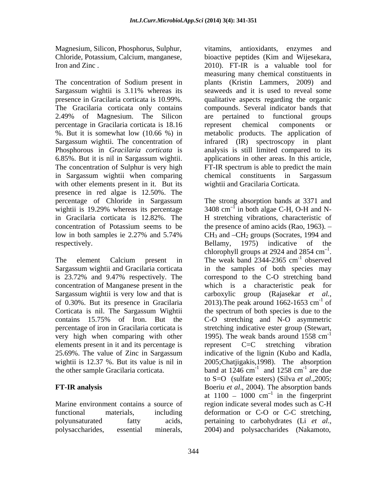Magnesium, Silicon, Phosphorus, Sulphur, Chloride, Potassium, Calcium, manganese,

Sargassum wightii is 3.11% whereas its percentage in Gracilaria corticata is 18.16 The concentration of Sulphur is very high in Sargassum wightii when comparing with other elements present in it. But its presence in red algae is 12.50%. The

is 23.72% and 9.47% respectively. The concentration of Manganese present in the Sargassum wightii is very low and that is carboxylic group (Rajasekar et al., of 0.30%. But its presence in Gracilaria 2013). The peak around  $1662-1653$  cm<sup>-1</sup> of very high when comparing with other  $1995$ . The weak bands around 1558 cm<sup>-1</sup> elements present in it and its percentage is epresent C=C stretching vibration

polyunsaturated fatty acids, pertaining to carbohydrates (Li *et al.*, polysaccharides, essential minerals,

Iron and Zinc. 2010). FT-IR is a valuable tool for The concentration of Sodium present in plants (Kristin Lammers, 2009) and presence in Gracilaria corticata is 10.99%. qualitative aspects regarding the organic The Gracilaria corticata only contains compounds. Several indicator bands that 2.49% of Magnesium. The Silicon %. But it is somewhat low (10.66 %) in metabolic products.The application of Sargassum wightii. The concentration of infrared (IR) spectroscopy in plant Phosphorous in *Gracilaria corticata* is analysis is still limited compared to its 6.85%. But it is nil in Sargassum wightii. applications in other areas. In this article, vitamins, antioxidants, enzymes and bioactive peptides (Kim and Wijesekara, measuring many chemical constituents in seaweeds and it is used to reveal some are pertained to functional groups represent chemical components or FT-IR spectrum is able to predict the main chemical constituents in Sargassum wightii and Gracilaria Corticata.

percentage of Chloride in Sargassum The strong absorption bands at 3371 and wightii is 19.29% whereas its percentage  $3408 \text{ cm}^{-1}$  in both algae C-H, O-H and Nin Gracilaria corticata is 12.82%. The H stretching vibrations, characteristic of concentration of Potassium seems to be the presence of amino acids (Rao, 1963). low in both samples ie  $2.27\%$  and  $5.74\%$  CH<sub>3</sub> and  $-CH_2$  groups (Socrates, 1994 and respectively. Bellamy, 1975) indicative of the The element Calcium present in The weak band 2344-2365 cm<sup>-1</sup> observed Sargassum wightii and Gracilaria corticata in the samples of both species may Corticata is nil. The Sargassum Wightii the spectrum of both species is due to the contains 15.75% of Iron. But the C-O stretching and N-O asymmetric percentage of iron in Gracilaria corticata is stretching indicative ester group (Stewart, 25.69%. The value of Zinc in Sargassum indicative of the lignin (Kubo and Kadla, wightii is 12.37 %. But its value is nil in 2005;Chatjigakis,1998). The absorption the other sample Gracilaria corticata.  $\mu$  band at 1246 cm<sup>-1</sup> and 1258 cm<sup>-1</sup> are due **FT-IR analysis** Boeriu *et al*., 2004). The absorption bands Marine environment contains a source of region indicate several modes such as C-H functional materials, including deformation or C-O or C-C stretching, in both algae C-H, O-H and N-  $CH<sub>3</sub>$  and  $-CH<sub>2</sub>$  groups (Socrates, 1994 and chlorophyll groups at 2924 and 2854  $\text{cm}^{-1}$ . 1 chlorophyll groups at 2924 and 2854  $\text{cm}^{-1}$ .<br>The weak band 2344-2365  $\text{cm}^{-1}$  observed  $^{-1}$  observed observed correspond to the C-O stretching band a characteristic peak for carboxylic group (Rajasekar *et al.*,<br>2013).The peak around 1662-1653 cm<sup>-1</sup> of  $-1$  of of 1995). The weak bands around  $1558 \text{ cm}^{-1}$ -1 represent C=C stretching vibration and  $1258 \text{ cm}^{-1}$  are due  $^{-1}$  are due are due to S=O (sulfate esters) (Silva *et al*.,2005; at  $1100 - 1000$  cm<sup>-1</sup> in the fingerprint  $\frac{1}{2}$  in the fingermulation in the fingerprint pertaining to carbohydrates (Li *et al*., 2004) and polysaccharides (Nakamoto,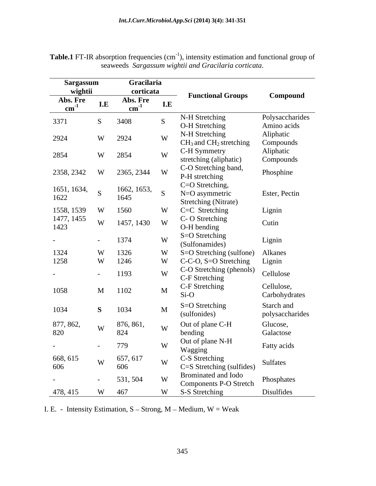| wightii<br>Abs. Fre<br>I.E<br>$\text{cm}^{\text{-1}}$<br>3371<br>3408<br>2924<br>W 2924<br>2854<br>W | corticata<br>Abs. Fre<br>I.E<br>$\text{cm}^{-1}$<br>W | <b>Functional Groups</b><br>N-H Stretching<br>O-H Stretching<br>N-H Stretching | Compound<br>Polysaccharides<br>Amino acids |
|------------------------------------------------------------------------------------------------------|-------------------------------------------------------|--------------------------------------------------------------------------------|--------------------------------------------|
| 2854                                                                                                 |                                                       |                                                                                |                                            |
|                                                                                                      |                                                       |                                                                                |                                            |
|                                                                                                      |                                                       |                                                                                |                                            |
|                                                                                                      |                                                       |                                                                                |                                            |
|                                                                                                      |                                                       |                                                                                |                                            |
|                                                                                                      |                                                       |                                                                                | Aliphatic                                  |
|                                                                                                      |                                                       | $CH3$ and $CH2$ stretching                                                     | Compounds                                  |
|                                                                                                      | W                                                     | C-H Symmetry                                                                   | Aliphatic                                  |
|                                                                                                      |                                                       | stretching (aliphatic)                                                         | Compounds                                  |
| 2358, 2342<br>W                                                                                      | 2365, 2344 W                                          | C-O Stretching band,<br>P-H stretching                                         | Phosphine                                  |
|                                                                                                      |                                                       | C=O Stretching,                                                                |                                            |
| 1651, 1634,<br>1622<br><sub>S</sub>                                                                  | $1662, 1653,$ S                                       | N=O asymmetric                                                                 | Ester, Pectin                              |
| 1645                                                                                                 |                                                       | Stretching (Nitrate)                                                           |                                            |
| 1558, 1539<br>1560                                                                                   | W                                                     | C=C Stretching                                                                 | Lignin                                     |
| 1477, 1455<br>W                                                                                      |                                                       | C-O Stretching                                                                 |                                            |
| 1423                                                                                                 | 1457, 1430 W                                          | O-H bending                                                                    | Cutin                                      |
| 1374                                                                                                 | W                                                     | S=O Stretching                                                                 |                                            |
| $\sim$<br>$\sim$                                                                                     |                                                       | (Sulfonamides)                                                                 | Lignin                                     |
| 1324<br>W 1326                                                                                       | W                                                     | S=O Stretching (sulfone) Alkanes                                               |                                            |
| 1258<br>W 1246                                                                                       | W                                                     | C-C-O, S=O Stretching Lignin                                                   |                                            |
| 1193<br>$-$<br>$\sim$                                                                                | W                                                     | C-O Stretching (phenols)                                                       | Cellulose                                  |
|                                                                                                      |                                                       | C-F Stretching                                                                 |                                            |
| 1058<br>1102<br>M                                                                                    | $\mathbf M$                                           | C-F Stretching                                                                 | Cellulose,                                 |
|                                                                                                      |                                                       | $Si-O$                                                                         | Carbohydrates                              |
| 1034<br>1034                                                                                         | $\mathbf{M}$                                          | S=O Stretching                                                                 | Starch and                                 |
|                                                                                                      |                                                       | (sulfonides)                                                                   | polysaccharides                            |
| 877, 862,<br>876, 861,<br>W                                                                          | W                                                     | Out of plane C-H                                                               | Glucose,                                   |
| 820<br>824                                                                                           |                                                       | bending                                                                        | Galactose                                  |
| 779<br>$\sim$<br>$\sim$                                                                              | W                                                     | Out of plane N-H                                                               | Fatty acids                                |
|                                                                                                      |                                                       | Wagging                                                                        |                                            |
| 657, 617<br>668, 615<br>W                                                                            | W                                                     | C-S Stretching                                                                 | Sulfates                                   |
| 606<br>606                                                                                           |                                                       | C=S Stretching (sulfides)                                                      |                                            |
| 531, 504<br>$-$                                                                                      | W                                                     | Brominated and Iodo<br><b>Components P-O Stretch</b>                           | Phosphates                                 |
| 467<br>478, 415<br>W                                                                                 | W                                                     | S-S Stretching                                                                 | Disulfides                                 |

**Table.1** FT-IR absorption frequencies (cm<sup>-1</sup>), intensity estimation and functional group of seaweeds *Sargassum wightii and Gracilaria corticata*.

I. E. - Intensity Estimation,  $S -$ Strong, M - Medium, W = Weak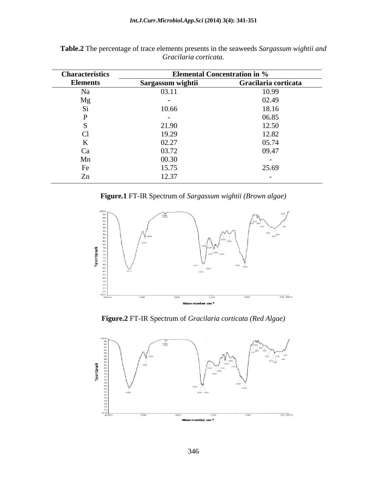| <b>Characteristics</b> | Elemental Concentration in %<br>Statistic Gracilaria corticata |       |
|------------------------|----------------------------------------------------------------|-------|
| <b>Elements</b>        | Sargassum wightii                                              |       |
|                        | 03.11                                                          | 10.99 |
|                        |                                                                | 02.49 |
|                        | 10.66<br>$\cdots$                                              | 18.16 |
|                        |                                                                | 06.85 |
|                        |                                                                |       |
|                        |                                                                |       |
|                        | ഹ ഹ<br>ا ۱۷.۷                                                  | 05.7  |
|                        |                                                                | 09.47 |
|                        | UU 1 5 U                                                       |       |
|                        |                                                                |       |
|                        |                                                                |       |

**Table.2** The percentage of trace elements presents in the seaweeds *Sargassum wightii and Gracilaria corticata.*

**Figure.1** FT-IR Spectrum of *Sargassum wightii (Brown algae)*



**Figure.2** FT-IR Spectrum of *Gracilaria corticata (Red Algae)*

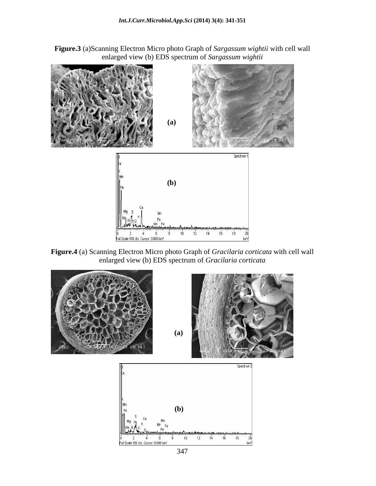**Figure.3** (a)Scanning Electron Micro photo Graph of *Sargassum wightii* with cell wall enlarged view (b) EDS spectrum of *Sargassum wightii*



**Figure.4** (a) Scanning Electron Micro photo Graph of *Gracilaria corticata* with cell wall enlarged view (b) EDS spectrum of *Gracilaria corticata*

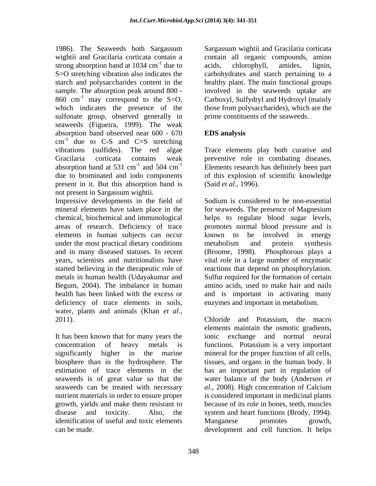1986). The Seaweeds both Sargassum Sargassum wightii and Gracilaria corticata wightii and Gracilaria corticata contain a contain all organic compounds, amino strong absorption band at  $1034 \text{ cm}^{-1}$  due to acids, chlorophyll, amides, lignin, S=O stretching vibration also indicates the carbohydrates and starch pertaining to a starch and polysaccharides content in the healthy plant. The main functional groups sample. The absorption peak around 800 - involved in the seaweeds uptake are 860 cm<sup>-1</sup> may correspond to the S=O, Carboxyl, Sulfydryl and Hydroxyl (mainly 860 cm<sup>-1</sup> may correspond to the S=O, which indicates the presence of the those from polysaccharides), which are the sulfonate group, observed generally in seaweeds (Figueira, 1999). The weak absorption band observed near 600 - 670  $\text{cm}^{-1}$  due to C-S and C=S stretching vibrations (sulfides). The red algae Trace elements play both curative and Gracilaria corticata contains weak preventive role in combating diseases. absorption band at 531 cm<sup>-1</sup> and 504 cm<sup>-1</sup> Elements research has definitely been part due to brominated and iodo components of this explosion of scientific knowledge present in it. But this absorption band is not present in Sargassum wightii.

Impressive developments in the field of Sodium is considered to be non-essential elements in human subjects can occur all known to be involved in energy under the most practical dietary conditions metabolism and protein synthesis and in many diseased statuses. In recent metals in human health (Udayakumar and Begum, 2004). The imbalance in human deficiency of trace elements in soils, water, plants and animals (Khan *et al.*,<br>2011). Chloride and Potassium, the macro

It has been known that for many years the nutrient materials in order to ensure proper growth, yields and make them resistant to identification of useful and toxic elements Manganese promotes growth,

due to acids, chlorophyll, amides, lignin, acids, chlorophyll, amides, lignin, prime constituents of the seaweeds.

# **EDS analysis**

(Said *et al*., 1996).

mineral elements have taken place in the for seaweeds. The presence of Magnesium chemical, biochemical and immunological helps to regulate blood sugar levels, areas of research. Deficiency of trace promotes normal blood pressure and is years, scientists and nutritionalists have vital role in a large number of enzymatic started believing in the therapeutic role of reactions that depend on phosphorylation. health has been linked with the excess or and is important in activating many Sodium is considered to be non-essential known to be involved in energy metabolism and protein synthesis (Broome, 1998). Phosphorous plays a Sulfur required for the formation of certain amino acids, used to make hair and nails enzymes and important in metabolism.

concentration of heavy metals is functions. Potassium isa very important significantly higher in the marine mineral for the proper function of all cells, biosphere than in the hydrosphere. The tissues, and organs in the human body. It estimation of trace elements in the has an important part in regulation of seaweeds is of great value so that the water balance of the body (Anderson *et*  seaweeds can be treated with necessary *al*., 2008). High concentration of Calcium disease and toxicity. Also, the system and heart functions (Brody, 1994). can be made. development and cell function. It helpsChloride and Potassium, the macro elements maintain the osmotic gradients, ionic exchange and normal neural is considered important in medicinal plants because of its role in bones, teeth, muscles Manganese promotes growth,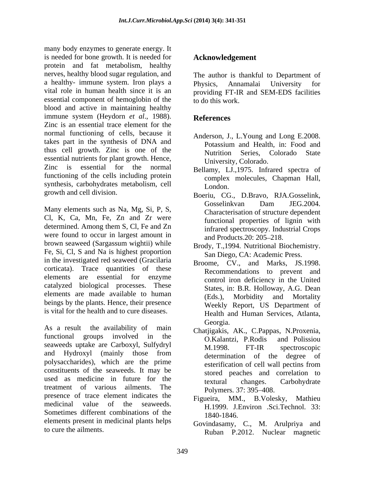many body enzymes to generate energy. It is needed for bone growth. It is needed for protein and fat metabolism, healthy nerves, healthy blood sugar regulation, and a healthy- immune system. Iron plays a Physics, Annamalai University for vital role in human health since it is an providing FT-IR and SEM-EDS facilities essential component of hemoglobin of the the do this work. blood and active in maintaining healthy immune system (Heydorn *et al*., 1988). Zinc is an essential trace element for the normal functioning of cells, because it takes part in the synthesis of DNA and<br>Potassium and Health. in: Food and thus cell growth. Zinc is one of the **Nutrition** Series. Colorado State essential nutrients for plant growth. Hence, Zinc is essential for the normal Bellamy, LJ.,1975. Infrared spectra of functioning of the cells including protein synthesis, carbohydrates metabolism, cell [ondon]

Many elements such as Na, Mg, Si, P, S, Cl, K, Ca, Mn, Fe, Zn and Zr were determined. Among them S, Cl, Fe and Zn were found to occur in largest amount in and Products. 20: 205–218. brown seaweed (Sargassum wightii) while Fe, Si, Cl, S and Na is highest proportion in the investigated red seaweed (Gracilaria corticata). Trace quantities of these elements are essential for enzyme catalyzed biological processes. These elements are made available to human  $(Eds.)$ . beings by the plants. Hence, their presence<br>is vital for the health and to cure diseases.

functional groups involved in the C.Kalantzi, P.Rodis and Polission seaweeds uptake are Carboxyl, Sulfydryl M.1998. FT-IR spectroscopic and Hydroxyl (mainly those from determination of the degree of polysaccharides), which are the prime constituents of the seaweeds. It may be used as medicine in future for the textural changes. Carbohydrate treatment of various ailments. The Polymers 37:395–408. presence of trace element indicates the medicinal value of the seaweeds. H.1999. J.Environ Sci.Technol. 33: Sometimes different combinations of the 1840-1846. elements present in medicinal plants helps

# **Acknowledgement**

The author is thankful to Department of Physics, Annamalai University for to do this work.

## **References**

- Anderson, J., L.Young and Long E.2008. Potassium and Health, in: Food and Nutrition Series, Colorado State University, Colorado.
- complex molecules, Chapman Hall, London.
- growth and cell division. Boeriu, CG., D.Bravo, RJA.Gosselink, Gosselinkvan Dam JEG.2004. Characterisation of structure dependent functional properties of lignin with infrared spectroscopy. Industrial Crops and Products.20: 205–218.
	- Brody, T.,1994. Nutritional Biochemistry. San Diego, CA: Academic Press.
- is vital for the health and to cure diseases.<br>
Health and Human Services, Atlanta,<br>
As a result the availability of main Chatileakis AK C Pannas N Proxenia Broome, CV., and Marks, JS.1998. Recommendations to prevent and control iron deficiency in the United States, in: B.R. Holloway, A.G. Dean Morbidity and Mortality Weekly Report, US Department of Health and Human Services, Atlanta, Georgia.
	- Chatjigakis, AK., C.Pappas, N.Proxenia, O.Kalantzi, P.Rodis and Polissiou M.1998. FT-IR spectroscopic determination of the degree of esterification of cell wall pectins from stored peaches and correlation to textural changes. Carbohydrate Polymers. 37: 395–408.
	- Figueira, MM., B.Volesky, Mathieu 1840-1846.
- to cure the ailments. Ruban P.2012. Nuclear magneticGovindasamy, C., M. Arulpriya and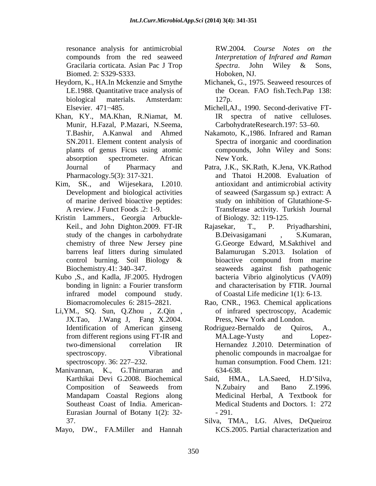resonance analysis for antimicrobial RW.2004. Course Notes on the Gracilaria corticata. Asian Pac J Trop Spectra. John Wiley & Sons, Biomed. 2: S329-S333.

- Heydorn, K., HA.In Mckenzie and Smythe
- Khan, KY., MA.Khan, R.Niamat, M. Munir, H.Fazal, P.Mazari, N.Seema,
- 
- Kristin Lammers., Georgia Arbuckle-
- Kubo ,S., and Kadla, JF.2005. Hydrogen infrared model compound study.
- Li,YM., SQ. Sun, Q.Zhou , Z.Qin , JX.Tao, J.Wang J, Fang X.2004.
- Manivannan, K., G.Thirumaran and Southeast Coast of India. American- Eurasian Journal of Botany 1(2): 32-
- Mayo, DW., FA.Miller and Hannah

compounds from the red seaweed *Interpretation of Infrared and Raman* RW.2004*. Course Notes on the Spectra*. John Wiley & Sons, Hoboken, NJ.

- LE.1988. Quantitative trace analysis of the Ocean. FAO fish.Tech.Pap 138: biological materials. Amsterdam: Michanek, G., 1975. Seaweed resources of 127p.
- Elsevier. 471 485. Michell,AJ., 1990. Second-derivative FT-IR spectra of native celluloses. CarbohydrateResearch.197: 53-60.
- T.Bashir, A.Kanwal and Ahmed Nakamoto, K.,1986. Infrared and Raman SN.2011. Element content analysis of Spectra of inorganic and coordination plants of genus Ficus using atomic compounds, John Wiley and Sons: absorption spectrometer. African New York. New York.
- Journal of Pharmacy and Patra, J.K., SK.Rath, K.Jena, VK.Rathod Pharmacology.5(3): 317-321. and Thatoi H.2008. Evaluation of Kim, SK., and Wijesekara, I.2010. antioxidant and antimicrobial activity Development and biological activities of seaweed (Sargassum sp.) extract: A of marine derived bioactive peptides: study on inhibition of Glutathione-S- A review. J Funct Foods .2: 1-9. Transferase activity. Turkish Journal of seaweed (Sargassum sp.) extract: A of Biology*.* 32: 119-125.
	- Keil., and John Dighton. 2009. FT-IR Rajasekar, T., P. Priyadharshini, study of the changes in carbohydrate B.Deivasigamani , S.Kumaran, chemistry of three New Jersey pine G.George Edward, M.Sakthivel and barrens leaf litters during simulated Balamurugan S.2013. Isolation of control burning. Soil Biology  $\&$  bioactive compound from marine Biochemistry.41: 340–347. Seaweeds against fish pathogenic bonding in lignin: a Fourier transform and characterisation by FTIR. Journal Rajasekar, T., P. Priyadharshini, B.Deivasigamani , S.Kumaran, bioactive compound from marine bacteria Vibrio alginolyticus (VA09) of Coastal Life medici*ne* 1(1): 6-13.
	- Biomacromolecule*s* 6: 2815 2821. Rao, CNR., 1963. Chemical applications of infrared spectroscopy, Academic Press, New York and London.
	- Identification of American ginseng Rodriguez-Bernaldo de Quiros, A., from different regions using FT-IR and MA.Lage-Yusty and Lopeztwo-dimensional correlation IR Hernandez J.2010. Determination of spectroscopy. Vibrational phenolic compounds in macroalgae for spectroscopy. 36: 227 232. human consumption. Food Chem. 121: Rodriguez-Bernaldo de Quiros, A., MA.Lage-Yusty and Lopez- 634-638.
	- Karthikai Devi G.2008. Biochemical Said, HMA., LA.Saeed, H.D'Silva, Composition of Seaweeds from Mandapam Coastal Regions along Said, HMA., LA.Saeed, H.D'Silva, N.Zubairy and Bano Z.1996. Medicinal Herbal, A Textbook for Medical Students and Doctors*.* 1: 272 - 291.
	- 37. Silva, TMA., LG. Alves, DeQueiroz KCS.2005. Partial characterization and